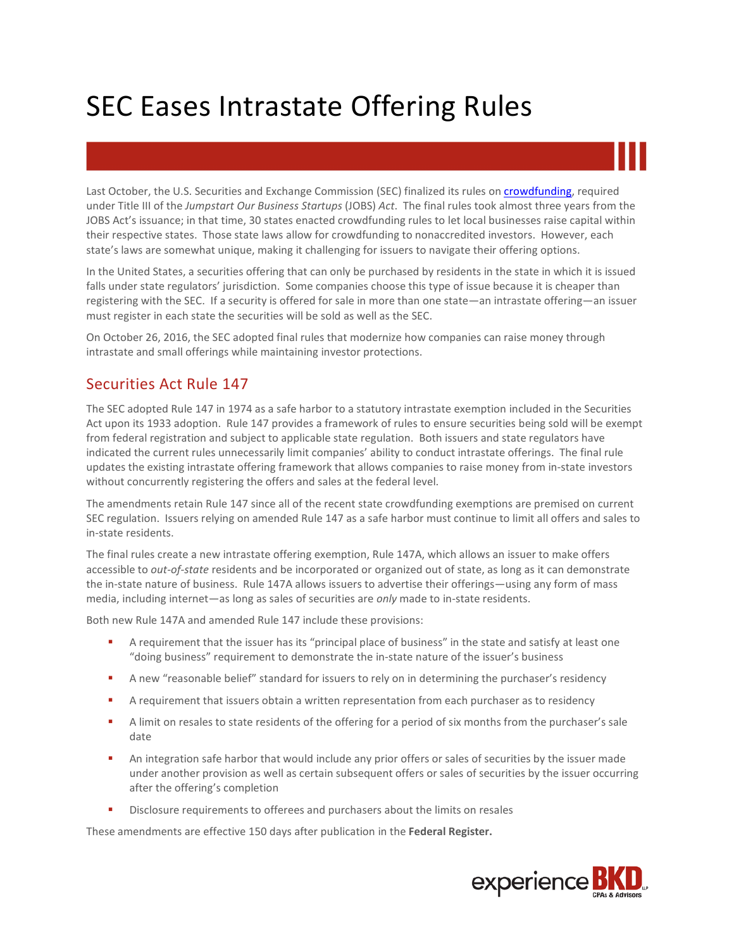Last October, the U.S. Securities and Exchange Commission (SEC) finalized its rules o[n crowdfunding,](http://www.bkd.com/articles/2015/sec-approves-crowdfunding.htm) required under Title III of the *Jumpstart Our Business Startups* (JOBS) *Act*. The final rules took almost three years from the JOBS Act's issuance; in that time, 30 states enacted crowdfunding rules to let local businesses raise capital within their respective states. Those state laws allow for crowdfunding to nonaccredited investors. However, each state's laws are somewhat unique, making it challenging for issuers to navigate their offering options.

In the United States, a securities offering that can only be purchased by residents in the state in which it is issued falls under state regulators' jurisdiction. Some companies choose this type of issue because it is cheaper than registering with the SEC. If a security is offered for sale in more than one state—an intrastate offering—an issuer must register in each state the securities will be sold as well as the SEC.

On October 26, 2016, the SEC adopted final rules that modernize how companies can raise money through intrastate and small offerings while maintaining investor protections.

#### Securities Act Rule 147

The SEC adopted Rule 147 in 1974 as a safe harbor to a statutory intrastate exemption included in the Securities Act upon its 1933 adoption. Rule 147 provides a framework of rules to ensure securities being sold will be exempt from federal registration and subject to applicable state regulation. Both issuers and state regulators have indicated the current rules unnecessarily limit companies' ability to conduct intrastate offerings. The final rule updates the existing intrastate offering framework that allows companies to raise money from in-state investors without concurrently registering the offers and sales at the federal level.

The amendments retain Rule 147 since all of the recent state crowdfunding exemptions are premised on current SEC regulation. Issuers relying on amended Rule 147 as a safe harbor must continue to limit all offers and sales to in-state residents.

The final rules create a new intrastate offering exemption, Rule 147A, which allows an issuer to make offers accessible to *out-of-state* residents and be incorporated or organized out of state, as long as it can demonstrate the in-state nature of business. Rule 147A allows issuers to advertise their offerings—using any form of mass media, including internet—as long as sales of securities are *only* made to in-state residents.

Both new Rule 147A and amended Rule 147 include these provisions:

- **A** requirement that the issuer has its "principal place of business" in the state and satisfy at least one "doing business" requirement to demonstrate the in-state nature of the issuer's business
- **A** new "reasonable belief" standard for issuers to rely on in determining the purchaser's residency
- **A** requirement that issuers obtain a written representation from each purchaser as to residency
- A limit on resales to state residents of the offering for a period of six months from the purchaser's sale date
- An integration safe harbor that would include any prior offers or sales of securities by the issuer made under another provision as well as certain subsequent offers or sales of securities by the issuer occurring after the offering's completion
- Disclosure requirements to offerees and purchasers about the limits on resales

These amendments are effective 150 days after publication in the **Federal Register.**

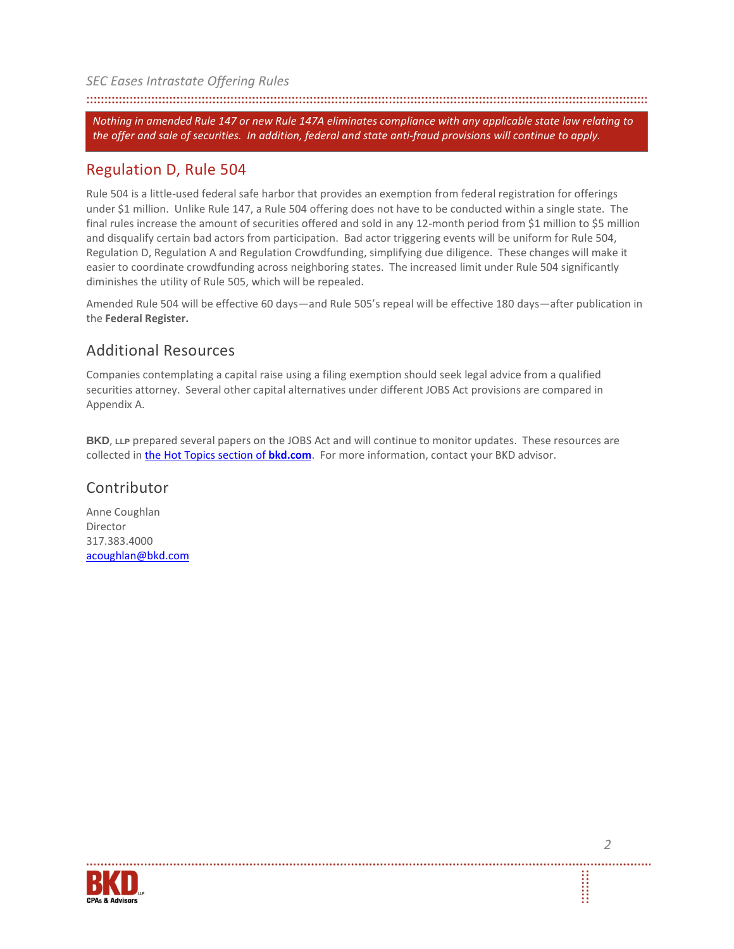*Nothing in amended Rule 147 or new Rule 147A eliminates compliance with any applicable state law relating to the offer and sale of securities. In addition, federal and state anti-fraud provisions will continue to apply.*

#### Regulation D, Rule 504

Rule 504 is a little-used federal safe harbor that provides an exemption from federal registration for offerings under \$1 million. Unlike Rule 147, a Rule 504 offering does not have to be conducted within a single state. The final rules increase the amount of securities offered and sold in any 12-month period from \$1 million to \$5 million and disqualify certain bad actors from participation. Bad actor triggering events will be uniform for Rule 504, Regulation D, Regulation A and Regulation Crowdfunding, simplifying due diligence. These changes will make it easier to coordinate crowdfunding across neighboring states. The increased limit under Rule 504 significantly diminishes the utility of Rule 505, which will be repealed.

Amended Rule 504 will be effective 60 days—and Rule 505's repeal will be effective 180 days—after publication in the **Federal Register.**

### Additional Resources

Companies contemplating a capital raise using a filing exemption should seek legal advice from a qualified securities attorney. Several other capital alternatives under different JOBS Act provisions are compared in Appendix A.

**BKD**, LLP prepared several papers on the JOBS Act and will continue to monitor updates. These resources are collected in [the Hot Topics section of](http://www.bkd.com/hot-topics/jumpstart-our-business-startups-act.htm) **bkd.com**. For more information, contact your BKD advisor.

#### Contributor

Anne Coughlan Director 317.383.4000 [acoughlan@bkd.com](mailto:acoughlan@bkd.com)



**SEE**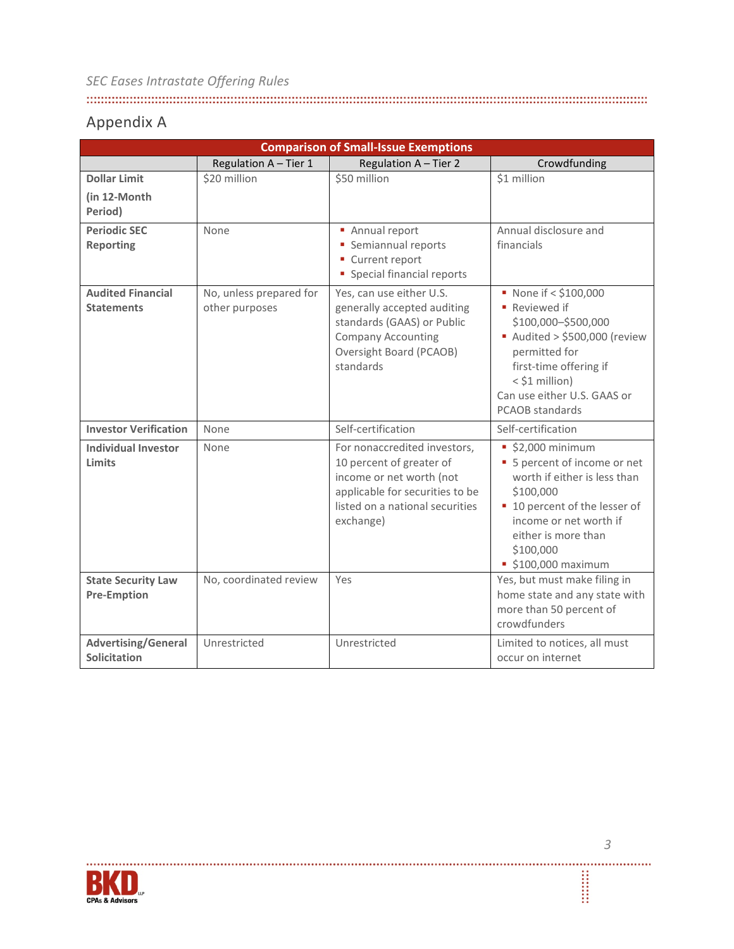## Appendix A

| <b>Comparison of Small-Issue Exemptions</b>     |                                           |                                                                                                                                                                         |                                                                                                                                                                                                                             |  |  |
|-------------------------------------------------|-------------------------------------------|-------------------------------------------------------------------------------------------------------------------------------------------------------------------------|-----------------------------------------------------------------------------------------------------------------------------------------------------------------------------------------------------------------------------|--|--|
|                                                 | Regulation A - Tier 1                     | Regulation A - Tier 2                                                                                                                                                   | Crowdfunding                                                                                                                                                                                                                |  |  |
| <b>Dollar Limit</b>                             | \$20 million                              | \$50 million                                                                                                                                                            | \$1 million                                                                                                                                                                                                                 |  |  |
| (in 12-Month)<br>Period)                        |                                           |                                                                                                                                                                         |                                                                                                                                                                                                                             |  |  |
| <b>Periodic SEC</b><br><b>Reporting</b>         | None                                      | • Annual report<br>• Semiannual reports<br>• Current report<br>• Special financial reports                                                                              | Annual disclosure and<br>financials                                                                                                                                                                                         |  |  |
| <b>Audited Financial</b><br><b>Statements</b>   | No, unless prepared for<br>other purposes | Yes, can use either U.S.<br>generally accepted auditing<br>standards (GAAS) or Public<br><b>Company Accounting</b><br>Oversight Board (PCAOB)<br>standards              | None if < \$100,000<br>■ Reviewed if<br>\$100,000-\$500,000<br>Audited > \$500,000 (review<br>permitted for<br>first-time offering if<br>< \$1 million)<br>Can use either U.S. GAAS or<br><b>PCAOB</b> standards            |  |  |
| <b>Investor Verification</b>                    | None                                      | Self-certification                                                                                                                                                      | Self-certification                                                                                                                                                                                                          |  |  |
| <b>Individual Investor</b><br>Limits            | None                                      | For nonaccredited investors,<br>10 percent of greater of<br>income or net worth (not<br>applicable for securities to be<br>listed on a national securities<br>exchange) | $$2,000$ minimum<br>• 5 percent of income or net<br>worth if either is less than<br>\$100,000<br>■ 10 percent of the lesser of<br>income or net worth if<br>either is more than<br>\$100,000<br>$\bullet$ \$100,000 maximum |  |  |
| <b>State Security Law</b><br><b>Pre-Emption</b> | No, coordinated review                    | Yes                                                                                                                                                                     | Yes, but must make filing in<br>home state and any state with<br>more than 50 percent of<br>crowdfunders                                                                                                                    |  |  |
| <b>Advertising/General</b><br>Solicitation      | Unrestricted                              | Unrestricted                                                                                                                                                            | Limited to notices, all must<br>occur on internet                                                                                                                                                                           |  |  |



Ï